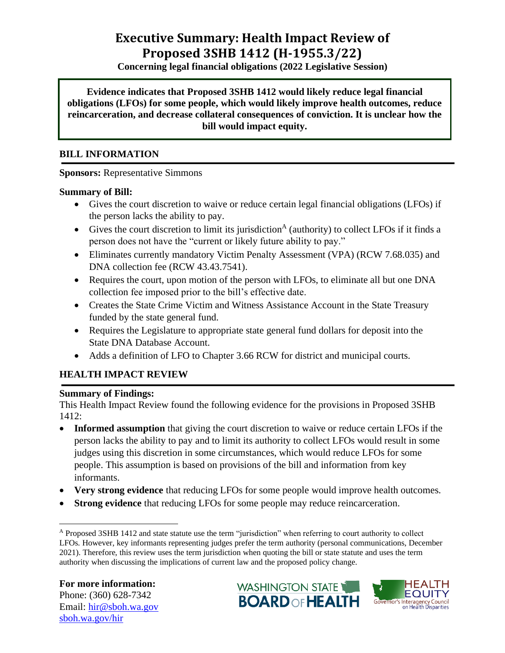# **Executive Summary: Health Impact Review of Proposed 3SHB 1412 (H-1955.3/22)**

**Concerning legal financial obligations (2022 Legislative Session)**

**Evidence indicates that Proposed 3SHB 1412 would likely reduce legal financial obligations (LFOs) for some people, which would likely improve health outcomes, reduce reincarceration, and decrease collateral consequences of conviction. It is unclear how the bill would impact equity.**

### **BILL INFORMATION**

#### **Sponsors:** Representative Simmons

#### **Summary of Bill:**

- Gives the court discretion to waive or reduce certain legal financial obligations (LFOs) if the person lacks the ability to pay.
- Gives the court discretion to limit its jurisdiction<sup>A</sup> (authority) to collect LFOs if it finds a person does not have the "current or likely future ability to pay."
- Eliminates currently mandatory Victim Penalty Assessment (VPA) (RCW 7.68.035) and DNA collection fee (RCW 43.43.7541).
- Requires the court, upon motion of the person with LFOs, to eliminate all but one DNA collection fee imposed prior to the bill's effective date.
- Creates the State Crime Victim and Witness Assistance Account in the State Treasury funded by the state general fund.
- Requires the Legislature to appropriate state general fund dollars for deposit into the State DNA Database Account.
- Adds a definition of LFO to Chapter 3.66 RCW for district and municipal courts.

## **HEALTH IMPACT REVIEW**

#### **Summary of Findings:**

This Health Impact Review found the following evidence for the provisions in Proposed 3SHB 1412:

- **Informed assumption** that giving the court discretion to waive or reduce certain LFOs if the person lacks the ability to pay and to limit its authority to collect LFOs would result in some judges using this discretion in some circumstances, which would reduce LFOs for some people. This assumption is based on provisions of the bill and information from key informants.
- **Very strong evidence** that reducing LFOs for some people would improve health outcomes.
- **Strong evidence** that reducing LFOs for some people may reduce reincarceration.





<sup>A</sup> Proposed 3SHB 1412 and state statute use the term "jurisdiction" when referring to court authority to collect LFOs. However, key informants representing judges prefer the term authority (personal communications, December 2021). Therefore, this review uses the term jurisdiction when quoting the bill or state statute and uses the term authority when discussing the implications of current law and the proposed policy change.